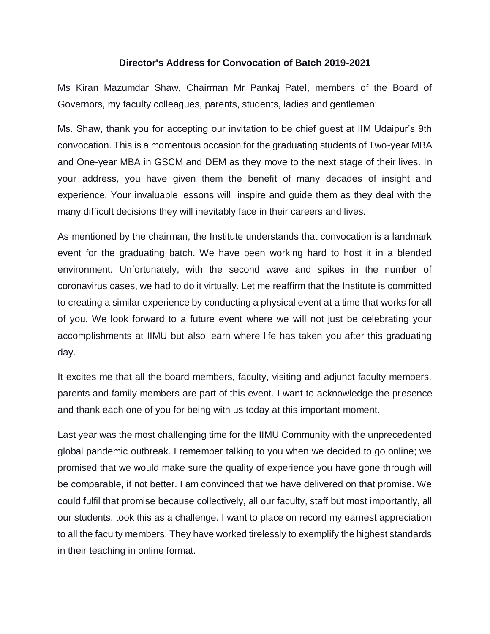## **Director's Address for Convocation of Batch 2019-2021**

Ms Kiran Mazumdar Shaw, Chairman Mr Pankaj Patel, members of the Board of Governors, my faculty colleagues, parents, students, ladies and gentlemen:

Ms. Shaw, thank you for accepting our invitation to be chief guest at IIM Udaipur's 9th convocation. This is a momentous occasion for the graduating students of Two-year MBA and One-year MBA in GSCM and DEM as they move to the next stage of their lives. In your address, you have given them the benefit of many decades of insight and experience. Your invaluable lessons will inspire and guide them as they deal with the many difficult decisions they will inevitably face in their careers and lives.

As mentioned by the chairman, the Institute understands that convocation is a landmark event for the graduating batch. We have been working hard to host it in a blended environment. Unfortunately, with the second wave and spikes in the number of coronavirus cases, we had to do it virtually. Let me reaffirm that the Institute is committed to creating a similar experience by conducting a physical event at a time that works for all of you. We look forward to a future event where we will not just be celebrating your accomplishments at IIMU but also learn where life has taken you after this graduating day.

It excites me that all the board members, faculty, visiting and adjunct faculty members, parents and family members are part of this event. I want to acknowledge the presence and thank each one of you for being with us today at this important moment.

Last year was the most challenging time for the IIMU Community with the unprecedented global pandemic outbreak. I remember talking to you when we decided to go online; we promised that we would make sure the quality of experience you have gone through will be comparable, if not better. I am convinced that we have delivered on that promise. We could fulfil that promise because collectively, all our faculty, staff but most importantly, all our students, took this as a challenge. I want to place on record my earnest appreciation to all the faculty members. They have worked tirelessly to exemplify the highest standards in their teaching in online format.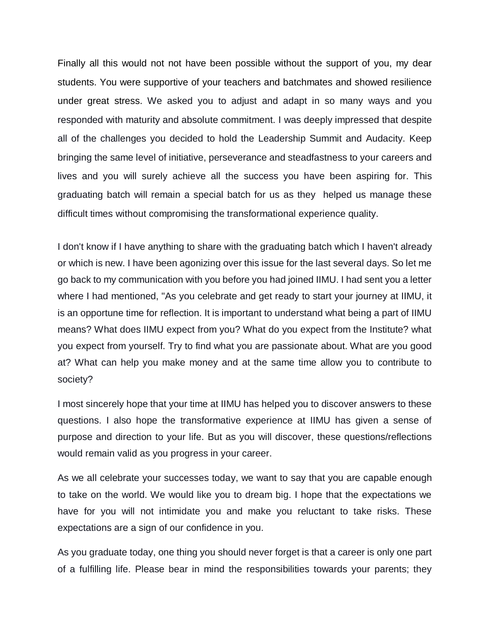Finally all this would not not have been possible without the support of you, my dear students. You were supportive of your teachers and batchmates and showed resilience under great stress. We asked you to adjust and adapt in so many ways and you responded with maturity and absolute commitment. I was deeply impressed that despite all of the challenges you decided to hold the Leadership Summit and Audacity. Keep bringing the same level of initiative, perseverance and steadfastness to your careers and lives and you will surely achieve all the success you have been aspiring for. This graduating batch will remain a special batch for us as they helped us manage these difficult times without compromising the transformational experience quality.

I don't know if I have anything to share with the graduating batch which I haven't already or which is new. I have been agonizing over this issue for the last several days. So let me go back to my communication with you before you had joined IIMU. I had sent you a letter where I had mentioned, "As you celebrate and get ready to start your journey at IIMU, it is an opportune time for reflection. It is important to understand what being a part of IIMU means? What does IIMU expect from you? What do you expect from the Institute? what you expect from yourself. Try to find what you are passionate about. What are you good at? What can help you make money and at the same time allow you to contribute to society?

I most sincerely hope that your time at IIMU has helped you to discover answers to these questions. I also hope the transformative experience at IIMU has given a sense of purpose and direction to your life. But as you will discover, these questions/reflections would remain valid as you progress in your career.

As we all celebrate your successes today, we want to say that you are capable enough to take on the world. We would like you to dream big. I hope that the expectations we have for you will not intimidate you and make you reluctant to take risks. These expectations are a sign of our confidence in you.

As you graduate today, one thing you should never forget is that a career is only one part of a fulfilling life. Please bear in mind the responsibilities towards your parents; they